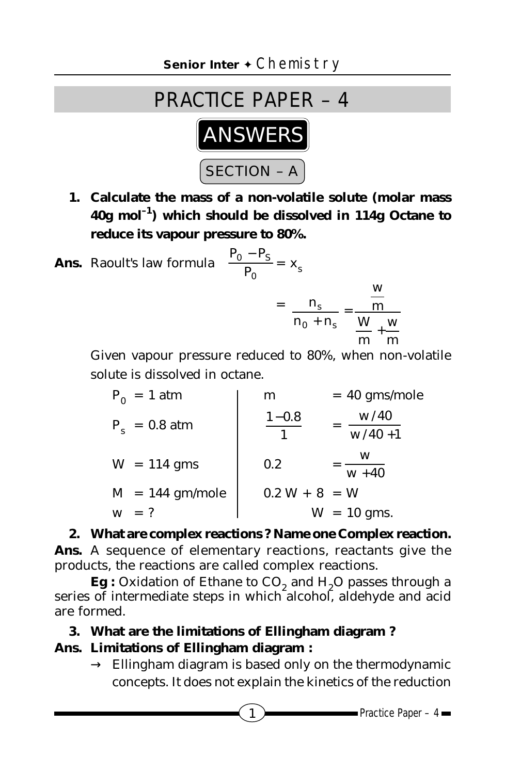

- **1. Calculate the mass of a non-volatile solute (molar mass 40g mol–1) which should be dissolved in 114g Octane to reduce its vapour pressure to 80%.**
- **Ans.** Raoult's law formula 0  $0 - 1S$ P  $\frac{\mathbf{P}_0 - \mathbf{P}_\mathbf{S}}{\mathbf{P}_\mathbf{S}} = \mathbf{x}_\mathbf{S}$  $= -\frac{1}{2}$  ,  $\frac{1}{2}$  ,  $\frac{1}{2}$  ,  $\frac{1}{2}$  ,  $\frac{1}{2}$  ,  $\frac{1}{2}$  ,  $\frac{1}{2}$  ,  $\frac{1}{2}$  ,  $\frac{1}{2}$  ,  $\frac{1}{2}$ n n n s

$$
\frac{n_s}{0 + n_s} = \frac{m}{\frac{W}{m} + \frac{W}{m}}
$$

w

Given vapour pressure reduced to 80%, when non-volatile solute is dissolved in octane.

| $P_0 = 1$ atm     | m               | $= 40$ gms/mole    |
|-------------------|-----------------|--------------------|
| $P_s = 0.8$ atm   | $1 - 0.8$       | w/40<br>$w/40 + 1$ |
| $W = 114$ gms     | 0.2             | W<br>$w + 40$      |
| $M = 144$ gm/mole | $0.2 W + 8 = W$ |                    |
| $=$ ?<br>W        |                 | $W = 10$ gms.      |

**2. What are complex reactions ? Name one Complex reaction. Ans.** A sequence of elementary reactions, reactants give the products, the reactions are called complex reactions.

**Eg** : Oxidation of Ethane to CO<sub>2</sub> and H<sub>2</sub>O passes through a series of intermediate steps in which alcohol, aldehyde and acid are formed.

#### **3. What are the limitations of Ellingham diagram ?**

### **Ans. Limitations of Ellingham diagram :**

 $\rightarrow$  Ellingham diagram is based only on the thermodynamic concepts. It does not explain the kinetics of the reduction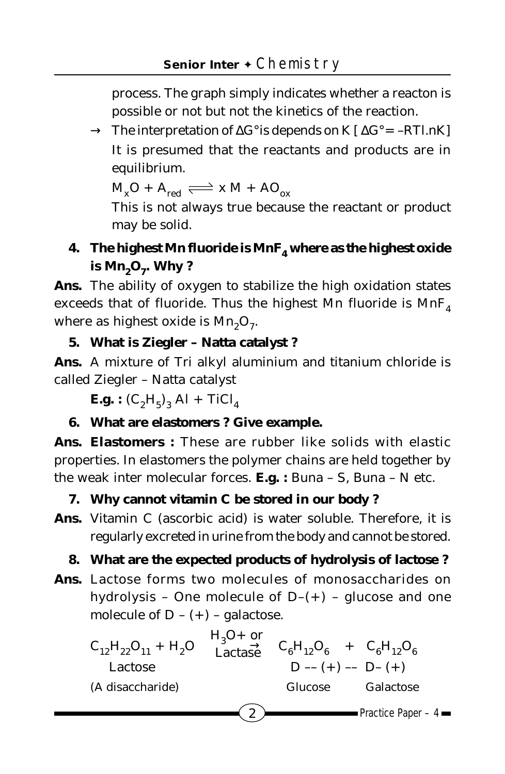process. The graph simply indicates whether a reacton is possible or not but not the kinetics of the reaction.

→ The interpretation of ∆G°is depends on K [ ∆G° = –RT*l.*nK] It is presumed that the reactants and products are in equilibrium.

 $M_xO + A_{red} \rightleftharpoons x M + AO_{ox}$ 

This is not always true because the reactant or product may be solid.

# **4. The highest Mn fluoride is MnF**<sub>4</sub> where as the highest oxide is  $Mn<sub>9</sub>O<sub>7</sub>$ . Why ?

**Ans.** The ability of oxygen to stabilize the high oxidation states exceeds that of fluoride. Thus the highest Mn fluoride is  $MnF_4$ where as highest oxide is  $Mn<sub>2</sub>O<sub>7</sub>$ .

## **5. What is Ziegler – Natta catalyst ?**

**Ans.** A mixture of Tri alkyl aluminium and titanium chloride is called Ziegler – Natta catalyst

**E.g.**:  $(C_2H_5)_3$  A*l* + TiC*l*<sub>4</sub>

## **6. What are elastomers ? Give example.**

**Ans. Elastomers :** These are rubber like solids with elastic properties. In elastomers the polymer chains are held together by the weak inter molecular forces. **E.g. :** Buna – S, Buna – N etc.

### **7. Why cannot vitamin C be stored in our body ?**

**Ans.** Vitamin C (ascorbic acid) is water soluble. Therefore, it is regularly excreted in urine from the body and cannot be stored.

## **8. What are the expected products of hydrolysis of lactose ?**

**Ans.** Lactose forms two molecules of monosaccharides on hydrolysis - One molecule of  $D-(+)$  - glucose and one molecule of  $D - (+)$  – galactose.

| $C_{12}H_{22}O_{11} + H_2O$ | $\frac{H_3O+$ or<br>Lactase |         | $C_6H_{12}O_6$ + $C_6H_{12}O_6$                                                                                                                                             |
|-----------------------------|-----------------------------|---------|-----------------------------------------------------------------------------------------------------------------------------------------------------------------------------|
| Lactose                     |                             |         | $D - (+) - D - (+)$                                                                                                                                                         |
| (A disaccharide)            |                             | Glucose | Galactose                                                                                                                                                                   |
|                             | 2                           |         | $Prac = Prac = Prac = Prac = Prac = Prac = Prac = Prac = Prac = Prac = Prac = Prac = Prac = Prac = Prac = Prac = Prac = Prac = Prac = Prac = Prac = Prac = Prac = Prac = P$ |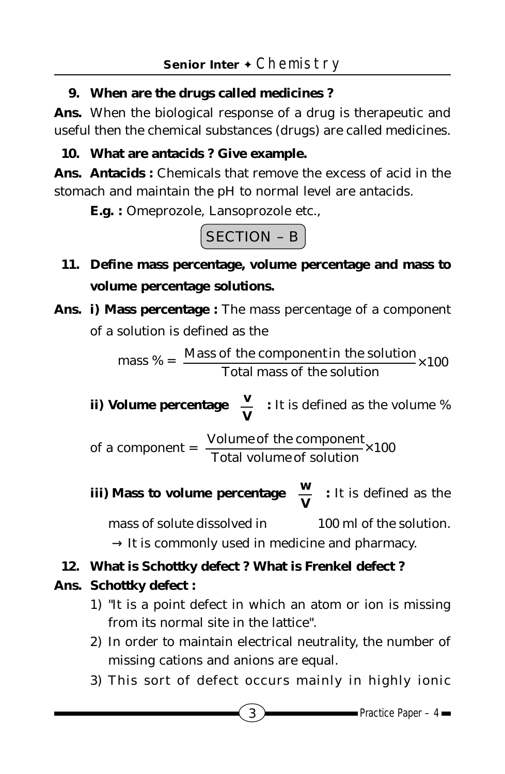### **9. When are the drugs called medicines ?**

**Ans.** When the biological response of a drug is therapeutic and useful then the chemical substances (drugs) are called medicines.

**10. What are antacids ? Give example.**

**Ans. Antacids :** Chemicals that remove the excess of acid in the stomach and maintain the pH to normal level are antacids.

**E.g. :** Omeprozole, Lansoprozole etc.,

SECTION – B

- **11. Define mass percentage, volume percentage and mass to volume percentage solutions.**
- **Ans. i) Mass percentage :** The mass percentage of a component of a solution is defined as the

mass  $% = \frac{\text{mass of the complement in solution}}{\text{Total mass of the solution}} \times 100$ Mass of the componentin the solution ×

**ii) Volume percentage**   $\bigg)$  $\left(\frac{\mathbf{v}}{\mathbf{v}}\right)$ l ſ **V**  $\left(\frac{\mathbf{v}}{\mathbf{v}}\right)$  : It is defined as the volume %

of a component  $=$   $\frac{100 \text{ rad}}{\text{Total volume of solution}} \times 100$ Volume of the component  $\overline{r}$ 

**iii) Mass to volume percentage**  $\overline{)}$  $\left(\frac{\mathbf{w}}{\mathbf{v}}\right)^{T}$ l ſ **V**  $\left(\frac{\mathbf{w}}{\mathbf{w}}\right)$  : It is defined as the mass of solute dissolved in 100 m*l* of the solution.  $\rightarrow$  It is commonly used in medicine and pharmacy.

### **12. What is Schottky defect ? What is Frenkel defect ?**

### **Ans. Schottky defect :**

- 1) "It is a point defect in which an atom or ion is missing from its normal site in the lattice".
- 2) In order to maintain electrical neutrality, the number of missing cations and anions are equal.
- 3) This sort of defect occurs mainly in highly ionic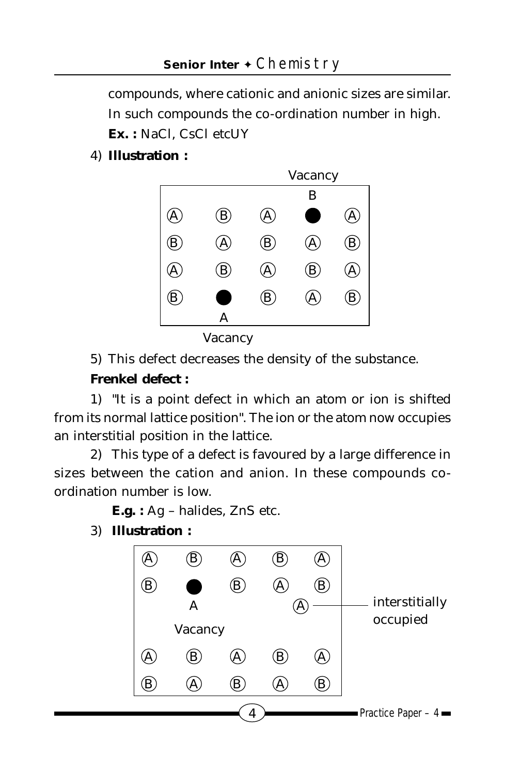compounds, where cationic and anionic sizes are similar. In such compounds the co-ordination number in high. **Ex. :** NaC*l*, CsC*l* etcUY

4) **Illustration :**



Vacancy

5) This defect decreases the density of the substance.

#### **Frenkel defect :**

1) "It is a point defect in which an atom or ion is shifted from its normal lattice position". The ion or the atom now occupies an interstitial position in the lattice.

2) This type of a defect is favoured by a large difference in sizes between the cation and anion. In these compounds coordination number is low.

**E.g. :** Ag – halides, ZnS etc.

3) **Illustration :**

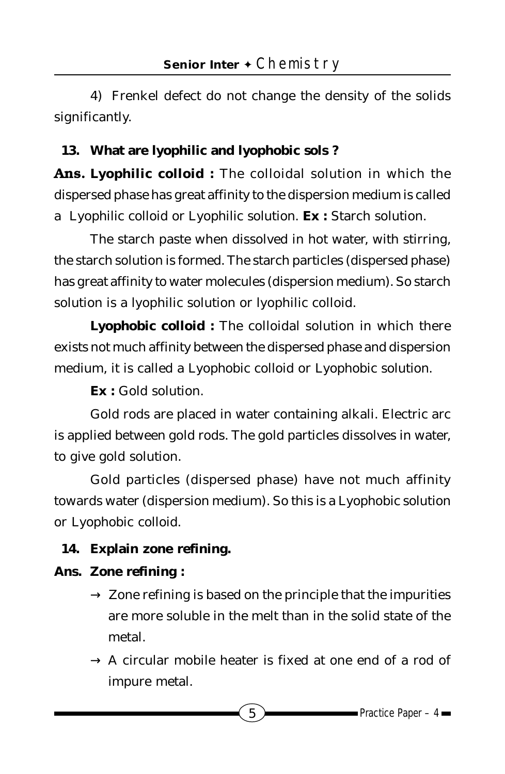4) Frenkel defect do not change the density of the solids significantly.

# **13. What are lyophilic and lyophobic sols ?**

**Ans. Lyophilic colloid :** The colloidal solution in which the dispersed phase has great affinity to the dispersion medium is called a *Lyophilic colloid or Lyophilic solution.* **Ex :** Starch solution.

The starch paste when dissolved in hot water, with stirring, the starch solution is formed. The starch particles (dispersed phase) has great affinity to water molecules (dispersion medium). So starch solution is a lyophilic solution or lyophilic colloid.

**Lyophobic colloid :** The colloidal solution in which there exists not much affinity between the dispersed phase and dispersion medium, it is called a *Lyophobic colloid* or *Lyophobic solution.*

**Ex :** Gold solution.

Gold rods are placed in water containing alkali. Electric arc is applied between gold rods. The gold particles dissolves in water, to give gold solution.

Gold particles (dispersed phase) have not much affinity towards water (dispersion medium). So this is a *Lyophobic solution* or *Lyophobic colloid.*

## **14. Explain zone refining.**

## **Ans. Zone refining :**

- $\rightarrow$  Zone refining is based on the principle that the impurities are more soluble in the melt than in the solid state of the metal.
- $\rightarrow$  A circular mobile heater is fixed at one end of a rod of impure metal.

 $\overline{5}$  Practice Paper – 4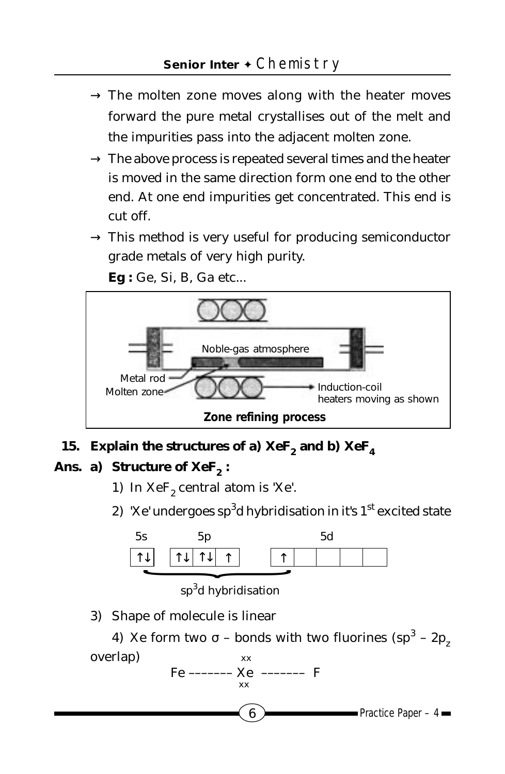- $\rightarrow$  The molten zone moves along with the heater moves forward the pure metal crystallises out of the melt and the impurities pass into the adjacent molten zone.
- $\rightarrow$  The above process is repeated several times and the heater is moved in the same direction form one end to the other end. At one end impurities get concentrated. This end is cut off.
- $\rightarrow$  This method is very useful for producing semiconductor grade metals of very high purity.

**Eg :** Ge, Si, B, Ga etc...



## 15. Explain the structures of a)  $XeF_2$  and b)  $XeF_4$

#### Ans. a) Structure of XeF<sub>2</sub>:

- 1) In  $XeF_2$  central atom is 'Xe'.
- 2) 'Xe' undergoes sp $\rm{^3d}$  hybridisation in it's 1 $\rm{^{st}}$  excited state



sp<sup>3</sup>d hybridisation

xx

3) Shape of molecule is linear

4) Xe form two σ – bonds with two fluorines (sp<sup>3</sup> – 2 $p_z$ overlap) Fe ––––––– Xe ––––––– F xx

 $\bullet$  Practice Paper – 4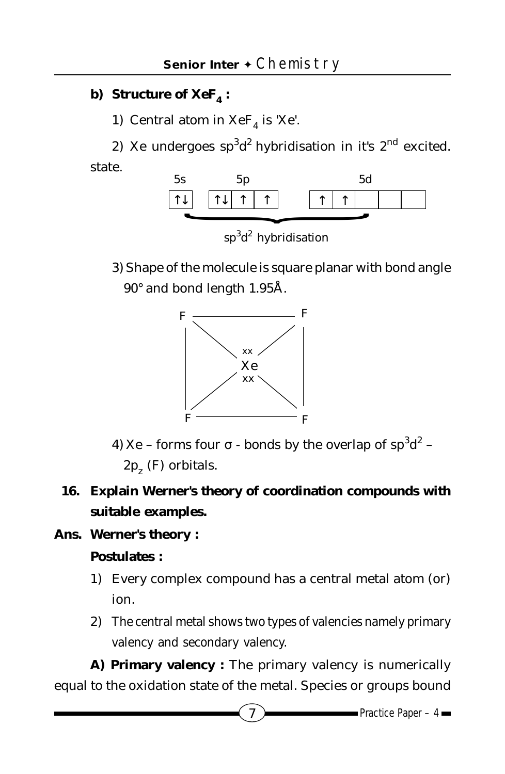## **b)** Structure of XeF<sub>4</sub>:

1) Central atom in  $XeF<sub>4</sub>$  is 'Xe'.

2) Xe undergoes sp<sup>3</sup>d<sup>2</sup> hybridisation in it's 2<sup>nd</sup> excited. state.



sp<sup>3</sup>d<sup>2</sup> hybridisation

3) Shape of the molecule is square planar with bond angle 90° and bond length 1.95Å.



- 4) Xe forms four  $\sigma$  bonds by the overlap of  $\mathrm{sp}^3\mathrm{d}^2$   $2p<sub>z</sub>$  (F) orbitals.
- **16. Explain Werner's theory of coordination compounds with suitable examples.**

### **Ans. Werner's theory :**

### **Postulates :**

- 1) Every complex compound has a central metal atom (or) ion.
- 2) The central metal shows two types of valencies namely primary valency and secondary valency.

**A) Primary valency :** The primary valency is numerically equal to the oxidation state of the metal. Species or groups bound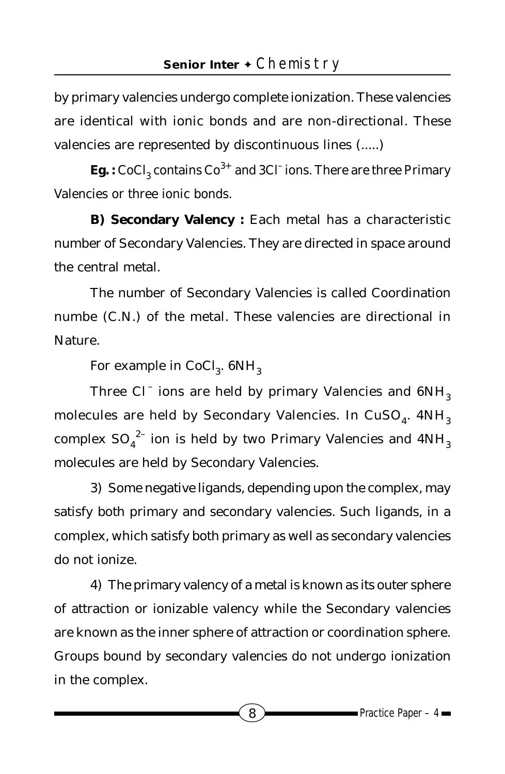by primary valencies undergo complete ionization. These valencies are identical with ionic bonds and are non-directional. These valencies are represented by discontinuous lines (.....)

**Eg.** : CoCl<sub>3</sub> contains Co<sup>3+</sup> and 3C*l* ions. There are three Primary Valencies or three ionic bonds.

**B) Secondary Valency :** Each metal has a characteristic number of Secondary Valencies. They are directed in space around the central metal.

The number of Secondary Valencies is called Coordination numbe (C.N.) of the metal. These valencies are directional in Nature.

For example in CoC*l* 3. 6NH3

Three C*l*<sup>-</sup> ions are held by primary Valencies and  $6NH_3$ molecules are held by Secondary Valencies. In CuSO<sub>4</sub>.  $4NH_3$ complex  $\mathrm{SO_4}^{2-}$  ion is held by two Primary Valencies and  $4\mathrm{NH}_3$ molecules are held by Secondary Valencies.

3) Some negative ligands, depending upon the complex, may satisfy both primary and secondary valencies. Such ligands, in a complex, which satisfy both primary as well as secondary valencies do not ionize.

4) The primary valency of a metal is known as its outer sphere of attraction or ionizable valency while the Secondary valencies are known as the inner sphere of attraction or coordination sphere. Groups bound by secondary valencies do not undergo ionization in the complex.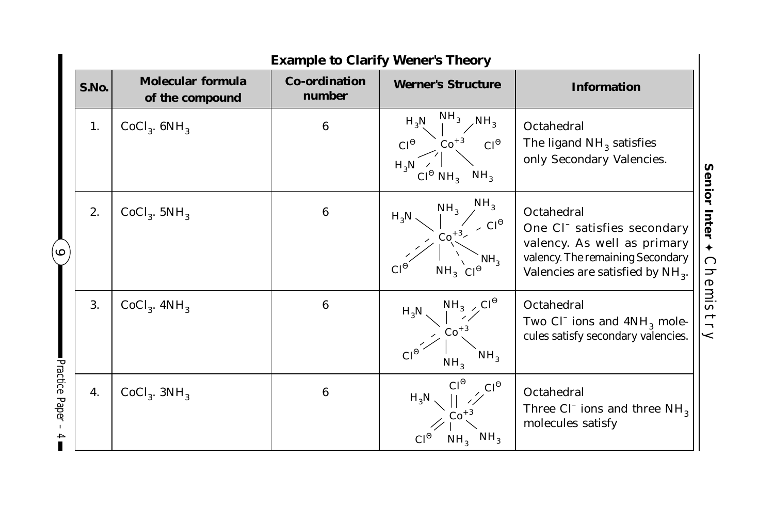|                                     | <b>Example to Clarify Wener's Theory</b> |                                             |                                |                                                                                                                                      |                                                                                                                                                                         |                                                     |  |  |  |
|-------------------------------------|------------------------------------------|---------------------------------------------|--------------------------------|--------------------------------------------------------------------------------------------------------------------------------------|-------------------------------------------------------------------------------------------------------------------------------------------------------------------------|-----------------------------------------------------|--|--|--|
|                                     | S.No.                                    | <b>Molecular formula</b><br>of the compound | <b>Co-ordination</b><br>number | <b>Werner's Structure</b>                                                                                                            | <b>Information</b>                                                                                                                                                      |                                                     |  |  |  |
| ∘                                   | 1.                                       | $CoCl3$ . $6NH3$                            | 6                              | NH <sub>3</sub><br>NH,<br>$H_3N$<br>$\mathrm{Co}^{+3}$<br>$C^{0}$<br>$C^{0}$<br>$H_3N$<br>NH <sub>3</sub><br>$C^{0}$ NH <sub>3</sub> | Octahedral<br>The ligand $NH3$ satisfies<br>only Secondary Valencies.                                                                                                   | Senior<br>Inter<br>$\blacklozenge$<br><b>Chemis</b> |  |  |  |
|                                     | 2.                                       | $CoCl3$ . 5NH <sub>3</sub>                  | 6                              | NH <sub>3</sub><br>NH <sub>3</sub><br>$H_3N$<br>$\sim C l^{\Theta}$<br>$Co^{+3}$<br>NH,<br>Сľ<br>$NH_3$ $\mathbb{C} \mathbb{P}^3$    | Octahedral<br>One C <sub>L</sub> satisfies secondary<br>valency. As well as primary<br>valency. The remaining Secondary<br>Valencies are satisfied by NH <sub>3</sub> . |                                                     |  |  |  |
|                                     | 3.                                       | $CoCl3$ . $4NH3$                            | 6                              | $C^{0}$<br>$NH_{3}$<br>$H_3N$<br>$Co+$<br>NH <sub>3</sub><br>NH <sub>3</sub>                                                         | Octahedral<br>Two C $\Gamma$ ions and $4NH_{\alpha}$ mole-<br>cules satisfy secondary valencies.                                                                        | itry                                                |  |  |  |
| Practice Paper<br>$\mathbf{I}$<br>4 | 4.                                       | $CoCl3$ . $3NH3$                            | 6                              | $C^{0}$<br>$H_3N$<br>NH <sub>3</sub><br>$Cf^{\epsilon}$<br>NH <sub>3</sub>                                                           | Octahedral<br>Three C $\Gamma$ ions and three NH <sub>3</sub><br>molecules satisfy                                                                                      |                                                     |  |  |  |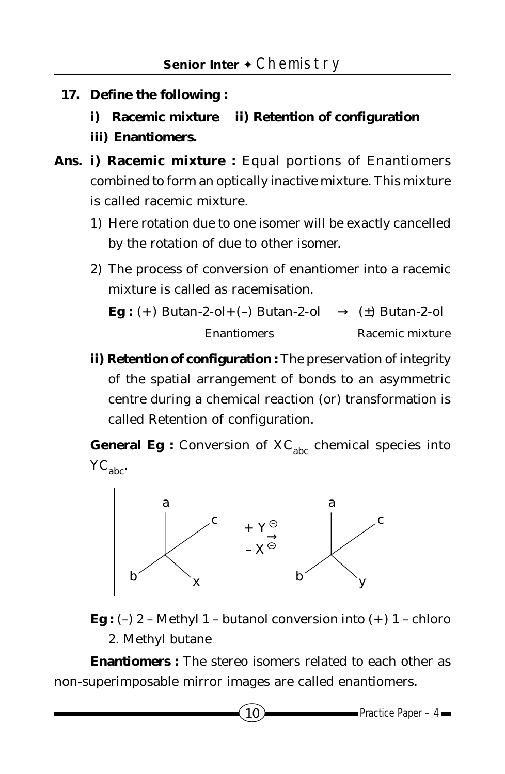- **17. Define the following :**
	- **i) Racemic mixture ii) Retention of configuration**
	- **iii) Enantiomers.**
- **Ans. i) Racemic mixture :** Equal portions of Enantiomers combined to form an optically inactive mixture. This mixture is called racemic mixture.
	- 1) Here rotation due to one isomer will be exactly cancelled by the rotation of due to other isomer.
	- 2) The process of conversion of enantiomer into a racemic mixture is called as racemisation.

```
Eg : (+) Butan-2-ol+(-) Butan-2-ol \longrightarrow (\pm) Butan-2-ol
    Enantiomers Racemic mixture
```
**ii) Retention of configuration :** The preservation of integrity of the spatial arrangement of bonds to an asymmetric centre during a chemical reaction (or) transformation is called Retention of configuration.

**General Eg :** Conversion of  $XC<sub>abc</sub>$  chemical species into YC<sub>abc</sub>.



**Eg** :  $(-)$  2 – Methyl 1 – butanol conversion into  $(+)$  1 – chloro 2. Methyl butane

**Enantiomers :** The stereo isomers related to each other as non-superimposable mirror images are called enantiomers.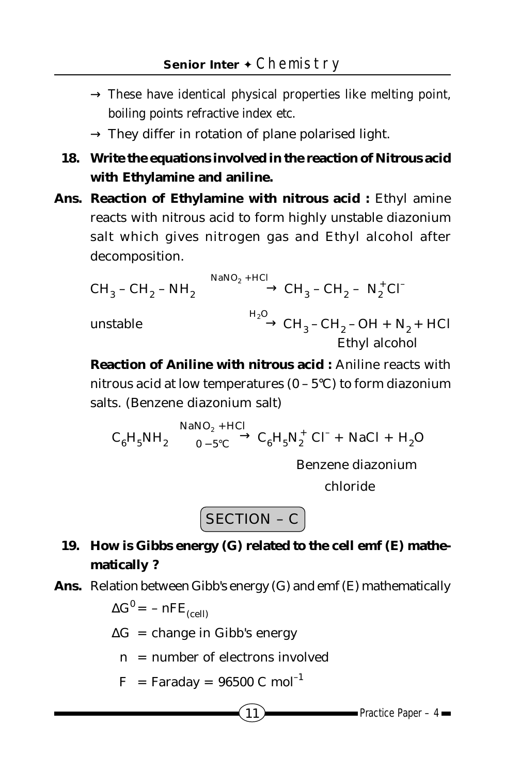- $\rightarrow$  These have identical physical properties like melting point, boiling points refractive index etc.
- $\rightarrow$  They differ in rotation of plane polarised light.
- **18. Write the equations involved in the reaction of Nitrous acid with Ethylamine and aniline.**
- **Ans. Reaction of Ethylamine with nitrous acid :** Ethyl amine reacts with nitrous acid to form highly unstable diazonium salt which gives nitrogen gas and Ethyl alcohol after decomposition.

$$
CH_3 - CH_2 - NH_2 \xrightarrow{\text{NaNO}_2 + HCl} CH_3 - CH_2 - N_2^+ C \cdot
$$
\nunstable

\n
$$
\xrightarrow{H_2O} CH_3 - CH_2 - OH + N_2 + HCl
$$
\nEthyl alcohol

**Reaction of Aniline with nitrous acid :** Aniline reacts with nitrous acid at low temperatures (0 – 5°C) to form diazonium salts. (Benzene diazonium salt)

$$
C_6H_5NH_2 \xrightarrow[0-5^{\circ}C]{\text{NaNO}_2 + HCl} C_6H_5N_2^+ C\Gamma + NaCl + H_2O
$$

Benzene diazonium

chloride

$$
SECTION - C
$$

- **19. How is Gibbs energy (G) related to the cell emf (E) mathematically ?**
- **Ans.** Relation between Gibb's energy (G) and emf (E) mathematically

$$
\Delta G^0 = -nFE_{(cell)}
$$

- ∆G = change in Gibb's energy
	- $n =$  number of electrons involved
	- $F = Faraday = 96500 C mol<sup>-1</sup>$

$$
\overline{11}
$$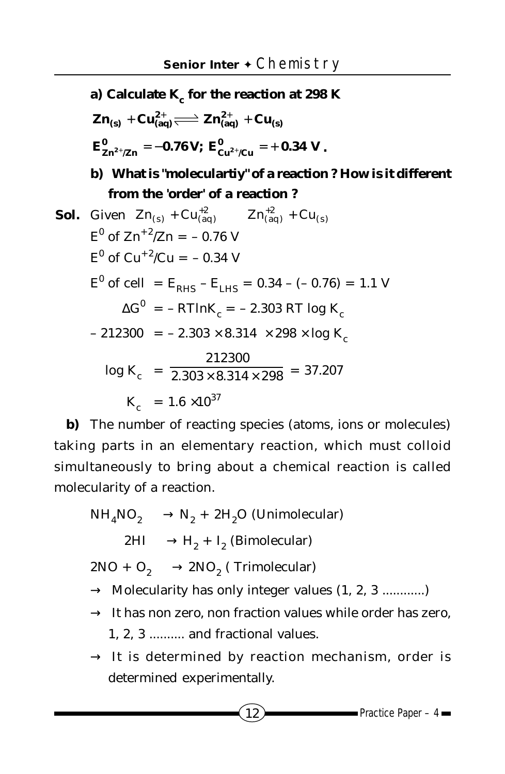**a) Calculate K<sub>c</sub> for the reaction at 298 K**  $\mathbf{Zn}_{(s)} + \mathbf{Cu}_{(aq)}^{2+} \rightleftharpoons \mathbf{Zn}_{(aq)}^{2+} + \mathbf{Cu}_{(s)}$  $\mathbf{E_{Zn^{2+}/Zn}^0} = -0.76 \text{ V}; \; \mathbf{E_{Cu^{2+}/Cu}^0} = +0.34 \text{ V}$  $\frac{\sigma}{\mathbf{Zn}^{2^+}/\mathbf{Zn}} = -0.76 \, \mathbf{V}; \; \mathbf{E}^0_{\mathbf{Cu}^{2^+}/\mathbf{Cu}} = +0.34 \, \mathbf{V}$  . **b) What is "moleculartiy" of a reaction ? How is it different from the 'order' of a reaction ? Sol.** Given  $Zn_{(s)} + Cu_{(aq)}^{+2}$   $Zn_{(aq)}^{+2} + Cu_{(s)}$ 2 (aq)  $E^0$  of  $Zn^{+2}/Zn = -0.76$  V  $E^0$  of Cu<sup>+2</sup>/Cu = -0.34 V  $E^0$  of cell = E<sub>RHS</sub> – E<sub>LHS</sub> = 0.34 – (– 0.76) = 1.1 V  $\Delta G^0$  = – RT*ln*K<sub>c</sub> = – 2.303 RT log K<sub>c</sub>  $- 212300 = -2.303 \times 8.314 \times 298 \times \log K_c$  $log K_c$  =  $\frac{2.303 \times 8.314 \times 298}{2.303 \times 8.314 \times 298}$ 212300  $\overline{\times 8.314 \times 298}$  = 37.207  $K = 1.6 \times 10^{37}$ 

**b)** The number of reacting species (atoms, ions or molecules) taking parts in an elementary reaction, which must colloid simultaneously to bring about a chemical reaction is called molecularity of a reaction.

 $NH<sub>4</sub>NO<sub>2</sub> \longrightarrow N<sub>2</sub> + 2H<sub>2</sub>O$  (Unimolecular)  $2HI \longrightarrow H_2 + I_2$  (Bimolecular)  $2NO + O_2 \longrightarrow 2NO_2$  (Trimolecular)  $\rightarrow$  Molecularity has only integer values  $(1, 2, 3$  .............)  $\rightarrow$  It has non zero, non fraction values while order has zero, 1, 2, 3 .......... and fractional values.  $\rightarrow$  It is determined by reaction mechanism, order is determined experimentally.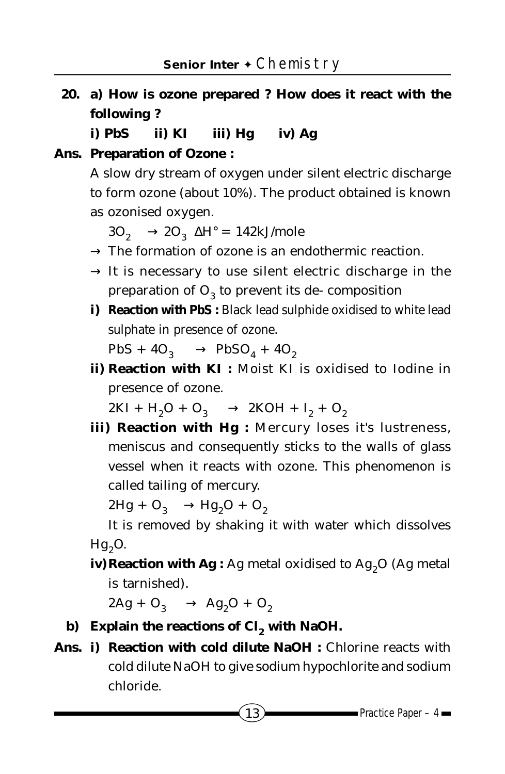**20. a) How is ozone prepared ? How does it react with the following ?**

**i) PbS ii) KI iii) Hg iv) Ag**

**Ans. Preparation of Ozone :**

A slow dry stream of oxygen under silent electric discharge to form ozone (about 10%). The product obtained is known as ozonised oxygen.

 $3O_2 \longrightarrow 2O_3$   $\Delta H^{\circ} = 142 \text{kJ/mole}$ 

- $\rightarrow$  The formation of ozone is an endothermic reaction.
- $\rightarrow$  It is necessary to use silent electric discharge in the preparation of  $O_3$  to prevent its de- composition
- **i) Reaction with PbS :** Black lead sulphide oxidised to white lead sulphate in presence of ozone.

 $PbS + 4O_3 \longrightarrow PbSO_4 + 4O_2$ 

**ii) Reaction with KI :** Moist KI is oxidised to Iodine in presence of ozone.

 $2\text{KI} + \text{H}_2\text{O} + \text{O}_3 \longrightarrow 2\text{KOH} + \text{I}_2 + \text{O}_2$ 

**iii) Reaction with Hg :** Mercury loses it's lustreness, meniscus and consequently sticks to the walls of glass vessel when it reacts with ozone. This phenomenon is called tailing of mercury.

 $2Hg + O_3 \longrightarrow Hg_2O + O_2$ 

It is removed by shaking it with water which dissolves  $Hg<sub>2</sub>O$ .

**iv) Reaction with Ag :** Ag metal oxidised to Ag<sub>2</sub>O (Ag metal is tarnished).

 $2Ag + O_3 \longrightarrow Ag_2O + O_2$ 

- **b) Explain the reactions of C***l***2 with NaOH.**
- **Ans. i) Reaction with cold dilute NaOH :** Chlorine reacts with cold dilute NaOH to give sodium hypochlorite and sodium chloride.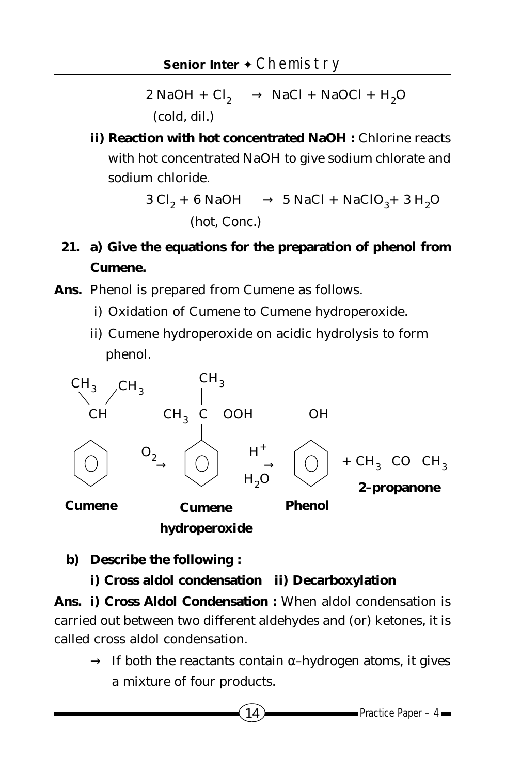$2$  NaOH +  $Cl_2 \longrightarrow$  NaC*l* + NaOC*l* + H<sub>2</sub>O (cold, dil.)

**ii) Reaction with hot concentrated NaOH : Chlorine reacts** with hot concentrated NaOH to give sodium chlorate and sodium chloride.

$$
3 \text{ C}l_2 + 6 \text{ NaOH} \longrightarrow 5 \text{ NaCl} + \text{NaClO}_3 + 3 \text{ H}_2\text{O}
$$
\n(hot, Conc.)

- **21. a) Give the equations for the preparation of phenol from Cumene.**
- **Ans.** Phenol is prepared from Cumene as follows.
	- i) Oxidation of Cumene to Cumene hydroperoxide.
	- ii) Cumene hydroperoxide on acidic hydrolysis to form phenol.



**hydroperoxide**

**b) Describe the following :**

**i) Cross aldol condensation ii) Decarboxylation**

**Ans. i) Cross Aldol Condensation :** When aldol condensation is carried out between two different aldehydes and (or) ketones, it is called cross aldol condensation.

 $\rightarrow$  If both the reactants contain  $\alpha$ -hydrogen atoms, it gives a mixture of four products.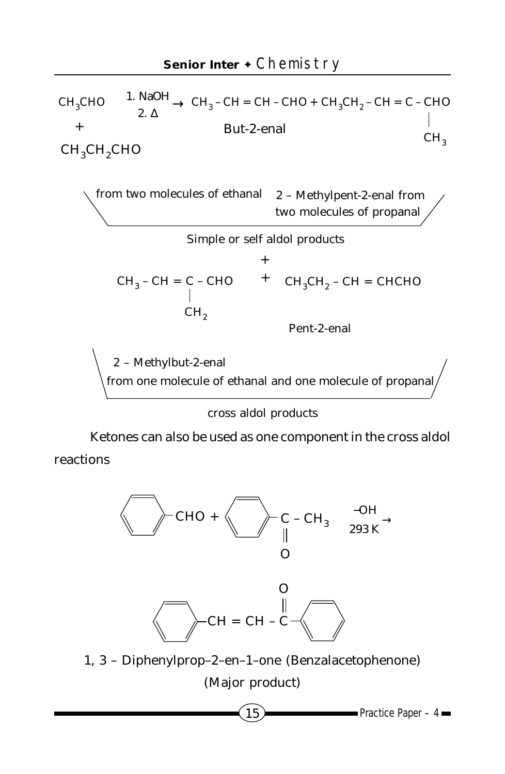

cross aldol products

Ketones can also be used as one component in the cross aldol reactions





1, 3 – Diphenylprop–2–en–1–one (Benzalacetophenone) (Major product)